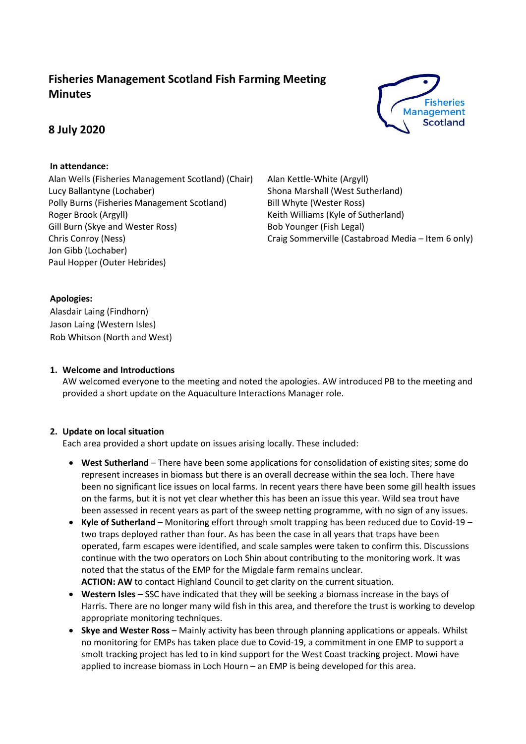# **Fisheries Management Scotland Fish Farming Meeting Minutes**

# **8 July 2020**



## **In attendance:**

Alan Wells (Fisheries Management Scotland) (Chair) Lucy Ballantyne (Lochaber) Polly Burns (Fisheries Management Scotland) Roger Brook (Argyll) Gill Burn (Skye and Wester Ross) Chris Conroy (Ness) Jon Gibb (Lochaber) Paul Hopper (Outer Hebrides)

Alan Kettle-White (Argyll) Shona Marshall (West Sutherland) Bill Whyte (Wester Ross) Keith Williams (Kyle of Sutherland) Bob Younger (Fish Legal) Craig Sommerville (Castabroad Media – Item 6 only)

## **Apologies:**

Alasdair Laing (Findhorn) Jason Laing (Western Isles) Rob Whitson (North and West)

## **1. Welcome and Introductions**

AW welcomed everyone to the meeting and noted the apologies. AW introduced PB to the meeting and provided a short update on the Aquaculture Interactions Manager role.

## **2. Update on local situation**

Each area provided a short update on issues arising locally. These included:

- **West Sutherland** There have been some applications for consolidation of existing sites; some do represent increases in biomass but there is an overall decrease within the sea loch. There have been no significant lice issues on local farms. In recent years there have been some gill health issues on the farms, but it is not yet clear whether this has been an issue this year. Wild sea trout have been assessed in recent years as part of the sweep netting programme, with no sign of any issues.
- **Kyle of Sutherland** Monitoring effort through smolt trapping has been reduced due to Covid-19 two traps deployed rather than four. As has been the case in all years that traps have been operated, farm escapes were identified, and scale samples were taken to confirm this. Discussions continue with the two operators on Loch Shin about contributing to the monitoring work. It was noted that the status of the EMP for the Migdale farm remains unclear. **ACTION: AW** to contact Highland Council to get clarity on the current situation.
- **Western Isles** SSC have indicated that they will be seeking a biomass increase in the bays of Harris. There are no longer many wild fish in this area, and therefore the trust is working to develop appropriate monitoring techniques.
- **Skye and Wester Ross** Mainly activity has been through planning applications or appeals. Whilst no monitoring for EMPs has taken place due to Covid-19, a commitment in one EMP to support a smolt tracking project has led to in kind support for the West Coast tracking project. Mowi have applied to increase biomass in Loch Hourn – an EMP is being developed for this area.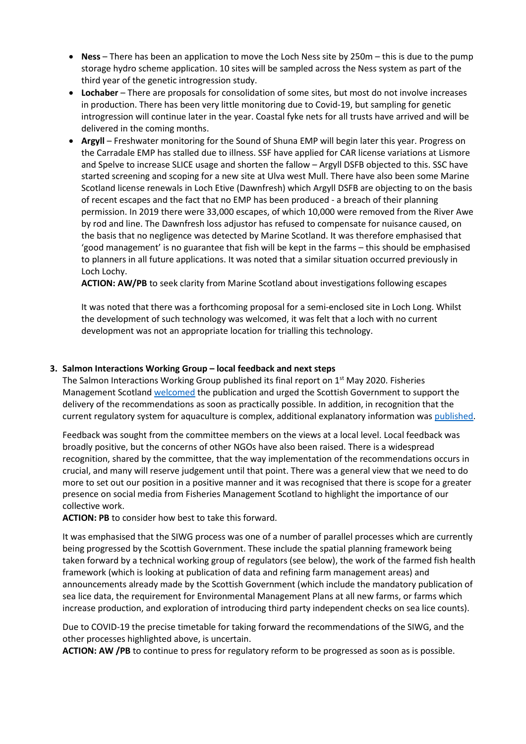- **Ness** There has been an application to move the Loch Ness site by 250m this is due to the pump storage hydro scheme application. 10 sites will be sampled across the Ness system as part of the third year of the genetic introgression study.
- **Lochaber** There are proposals for consolidation of some sites, but most do not involve increases in production. There has been very little monitoring due to Covid-19, but sampling for genetic introgression will continue later in the year. Coastal fyke nets for all trusts have arrived and will be delivered in the coming months.
- **Argyll** Freshwater monitoring for the Sound of Shuna EMP will begin later this year. Progress on the Carradale EMP has stalled due to illness. SSF have applied for CAR license variations at Lismore and Spelve to increase SLICE usage and shorten the fallow – Argyll DSFB objected to this. SSC have started screening and scoping for a new site at Ulva west Mull. There have also been some Marine Scotland license renewals in Loch Etive (Dawnfresh) which Argyll DSFB are objecting to on the basis of recent escapes and the fact that no EMP has been produced - a breach of their planning permission. In 2019 there were 33,000 escapes, of which 10,000 were removed from the River Awe by rod and line. The Dawnfresh loss adjustor has refused to compensate for nuisance caused, on the basis that no negligence was detected by Marine Scotland. It was therefore emphasised that 'good management' is no guarantee that fish will be kept in the farms – this should be emphasised to planners in all future applications. It was noted that a similar situation occurred previously in Loch Lochy.

**ACTION: AW/PB** to seek clarity from Marine Scotland about investigations following escapes

It was noted that there was a forthcoming proposal for a semi-enclosed site in Loch Long. Whilst the development of such technology was welcomed, it was felt that a loch with no current development was not an appropriate location for trialling this technology.

#### **3. Salmon Interactions Working Group – local feedback and next steps**

The Salmon Interactions Working Group published its final report on  $1<sup>st</sup>$  May 2020. Fisheries Management Scotland [welcomed](http://fms.scot/report-of-the-salmon-interactions-working-group-published-2/) the publication and urged the Scottish Government to support the delivery of the recommendations as soon as practically possible. In addition, in recognition that the current regulatory system for aquaculture is complex, additional explanatory information was [published.](http://fms.scot/aquaculture-regulation-in-scotland-and-the-report-of-the-salmon-interactions-working-group/)

Feedback was sought from the committee members on the views at a local level. Local feedback was broadly positive, but the concerns of other NGOs have also been raised. There is a widespread recognition, shared by the committee, that the way implementation of the recommendations occurs in crucial, and many will reserve judgement until that point. There was a general view that we need to do more to set out our position in a positive manner and it was recognised that there is scope for a greater presence on social media from Fisheries Management Scotland to highlight the importance of our collective work.

**ACTION: PB** to consider how best to take this forward.

It was emphasised that the SIWG process was one of a number of parallel processes which are currently being progressed by the Scottish Government. These include the spatial planning framework being taken forward by a technical working group of regulators (see below), the work of the farmed fish health framework (which is looking at publication of data and refining farm management areas) and announcements already made by the Scottish Government (which include the mandatory publication of sea lice data, the requirement for Environmental Management Plans at all new farms, or farms which increase production, and exploration of introducing third party independent checks on sea lice counts).

Due to COVID-19 the precise timetable for taking forward the recommendations of the SIWG, and the other processes highlighted above, is uncertain.

**ACTION: AW /PB** to continue to press for regulatory reform to be progressed as soon as is possible.